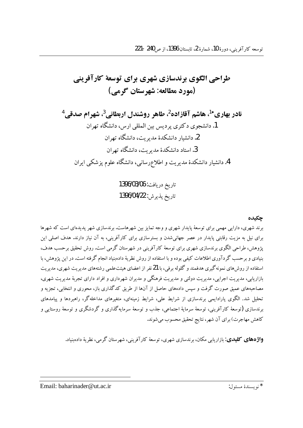نادر بهاري<sup>+1</sup>، هاشم آقازاده<sup>2</sup>، طاهر روشندل اربطاني<sup>3</sup>، شهرام صدقي<sup>4</sup> 1. دانشجوی دکتری پردیس بین المللی ارس، دانشگاه تهران 2. دانشبار دانشکدهٔ مدیر یت، دانشگاه تهران 3. استاد دانشکدهٔ مدبر بت، دانشگاه تهران 4. دانشیار دانشکدهٔ مدیریت و اطلاعرسانی، دانشگاه علوم یز شکبی ایران

> تاريخ دريافت: 1396/03/06 تاريخ پذيرش: 1396/04/22

#### حكىدە

برند شهري، دارايي مهمي براي توسعهٔ پايدار شهري و وجه تمايز بين شهرهاست. برندسازي شهر پديدهاي است كه شهرها برای نیل به مزیت رقابتی پایدار در عصر جهانی شدن و بسترسازی برای کارآفرینی، به آن نیاز دارند. هدف اصلی این یژوهش، طراحی الگوی برندسازی شهری برای توسعهٔ کارآفرینی در شهرستان گرمی است. روش تحقیق برحسب هدف، بنیادی و برحسب گردآوری اطلاعات کیفی بوده و با استفاده از روش نظریهٔ دادهبنیاد انجام گرفته است. در این پژوهش، با استفاده از روش۵ای نمونه گیری هدفمند و گلوله برفی، با 21نفر از اعضای هیئتعلمی رشتههای مدیریت شهری، مدیریت .<br>بازاریابی، مدیریت اجرایی، مدیریت دولتی و مدیریت فرهنگی و مدیران شهرداری و افراد دارای تجربهٔ مدیریت شهری، .<br>مصاحبههای عمیق صورت گرفت و سیس دادههای حاصل از آنها از طریق کدگذاری باز، محوری و انتخابی، تجزیه و تحلیل شد. الگوی پارادایمی برندسازی از شرایط علی، شرایط زمینهای، متغیرهای مداخلهگر، راهبردها و پیامدهای برندسازی (توسعهٔ کارآفرینی، توسعهٔ سرمایهٔ اجتماعی، جذب و توسعهٔ سرمایهگذاری و گردشگری و توسعهٔ روستایی و كاهش مهاجرت) براي آن شهر، نتايج تحقيق محسوب مي شوند.

**واژههای کلیدی**: بازاریابی مکان، برندسازی شهری، توسعهٔ کارآفرینی، شهرستان گرمی، نظریهٔ دادهبنیاد.

\* .<br>\* نو يسندهٔ مسئول: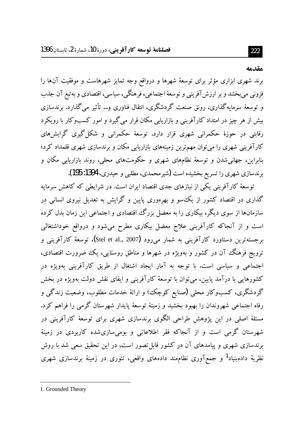#### مقدمه

222

برند شهری ابزاری مؤثر برای توسعهٔ شهرها و درواقع وجه تمایز شهرهاست و موفقیت آنها را فزوني مي بخشد و بر ارزش آفريني و توسعهٔ اجتماعي، فرهنگي، سياسي، اقتصادي و به تبع آن جذب و توسعهٔ سرمایهگذاری، رونق صنعت گردشگری، انتقال فناوری و… تأثیر میگذارد. برندسازی بیش از هر چیز در امتداد کارآفرینی و بازاریابی مکان قرار میگیرد و امور کسبوکار با رویکرد رقابتی در حوزهٔ حکمرانی شهری قرار دارد. توسعهٔ حکمرانی و شکل گیری گرایشهای کارآفرینی شهری را می توان مهم ترین زمینههای بازاریابی مکان و برندسازی شهری قلمداد کرد؛ بنابراین، جهانیشدن و توسعهٔ نظامهای شهری و حکومتهای محلی، روند بازاریابی مکان و برندسازی شهری را تسریع بخشیده است (شیرمحمدی، مطلبی و حیدری، 1394: 195).

توسعهٔ کارآفرینی یکی از نیازهای جدی اقتصاد ایران است. در شرایطی که کاهش سرمایه گذاری در اقتصاد کشور از یک سو و بهرهوری پایین و گرایش به تعدیل نیروی انسانی در سازمانها از سوی دیگر، بیکاری را به معضل بزرگ اقتصادی و اجتماعی این زمان بدل کرده است و از آنجاکه کارآفرینی علاج معضل بیکاری مطرح میشود و درواقع خوداشتغالی برجستهترین دستاورد کارآفرینی به شمار می(ود (Stel et al., 2007)، توسعهٔ کارآفرینی و ترویج فرهنگ آن در کشور و بهویژه در شهرها و مناطق روستایی، یک ضرورت اقتصادی، اجتماعی و سیاسی است. با توجه به آمار ایجاد اشتغال از طریق کارآفرینی بهویژه در کشورهایی با درآمد پایین، میتوان با توسعهٔ کارآفرینی و ایفای نقش دولت بهویژه در بخش گردشگری، کسبوکار محلی (صنایع کوچک) و ارائهٔ خدمات مطلوب، وضعیت زندگی و رفاه اجتماعی شهروندان را بهبود بخشید و زمینهٔ توسعهٔ پایدار شهرستان گرمی را فراهم کرد. .<br>مسئلهٔ اصلی در این یژوهش طراحی الگوی برندسازی شهری برای توسعهٔ کارآفرینی در شهرستان گرمی است و از آنجاکه فقر اطلاعاتی و بومیسازیشده کاربردی در زمینهٔ برندسازی شهری و پیامدهای آن در کشور قابل تصور است، در این تحقیق سعی شد با روش نظریهٔ دادهبنیاد<sup>1</sup> و جمعآوری نظاممند دادههای واقعی، تئوری در زمینهٔ برندسازی شهری

<sup>1.</sup> Grounded Theory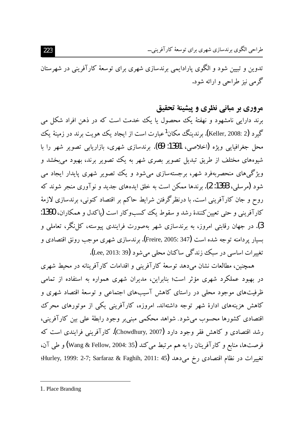تدوین و تبیین شود و الگوی پارادایمی برندسازی شهری برای توسعهٔ کارآفرینی در شهرستان گرمي نيز طراحي و ارائه شود.

# مروري ير مياني نظري و پيشينهٔ تحقيق برند دارایی نامشهود و نهفتهٔ یک محصول با یک خدمت است که در ذهن افراد شکل می گیرد (Keller, 2008: 2). برندینگ مکان<sup>1</sup>عبارت است از ایجاد یک هویت برند در زمینهٔ یک محل جغرافیایی ویژه (اخلاصی، 1391: 69). برندسازی شهری، بازاریابی تصویر شهر را با شیوههای مختلف از طریق تبدیل تصویر بصری شهر به یک تصویر برند، بهبود می بخشد و ویژگیهای منحصربهفرد شهر، برجستهسازی میشود و یک تصویر شهری پایدار ایجاد می شود (مرسلمی، 1393: 2). برندها ممکن است به خلق ایدههای جدید و نوآوری منجر شوند که روح و جان کارآفرینی است. با درنظرگرفتن شرایط حاکم بر اقتصاد کنونی، برندسازی لازمهٔ کارآفرینی و حتی تعیین کنندهٔ رشد و سقوط یک کسبوکار است (پاکدل و همکاران، 1390: 3). در جهان رقابتی امروز، به برندسازی شهر بهصورت فرایندی پیوسته، کل نگر، تعاملی و بسیار پردامنه توجه شده است (Freire, 2005: 347). برندسازی شهری موجب رونق اقتصادی و تغییرات اساسی در سبک زندگی ساکنان محلی می شود (Lee, 2013: 39).

همچنین، مطالعات نشان می دهد توسعهٔ کارآفرینی و اقدامات کارآفرینانه در محیط شهری در بهبود عملکرد شهری مؤثر است؛ بنابراین، مدیران شهری همواره به استفاده از تمامی ظرفیتهای موجود محلی در راستای کاهش آسیبهای اجتماعی و توسعهٔ اقتصاد شهری و کاهش هزینههای ادارهٔ شهر توجه داشتهاند. امروزه، کارآفرینی یکی از موتورهای محرک اقتصادی کشورها محسوب می شود. شواهد محکمی مبنی بر وجود رابطهٔ علی بین کار آفرینی، رشد اقتصادی و کاهش فقر وجود دارد (Chowdhury, 2007). کارآفرینی فرایندی است که فرصتها، منابع و كارآفرينان را به هم مرتبط ميكند (Wang & Fellow, 2004: 35) و طي آن، تغييرات در نظام اقتصادى رخ مىدهد (Hurley, 1999: 2-7; Sarfaraz & Faghih, 2011: 45<del>)</del>

<sup>1.</sup> Place Branding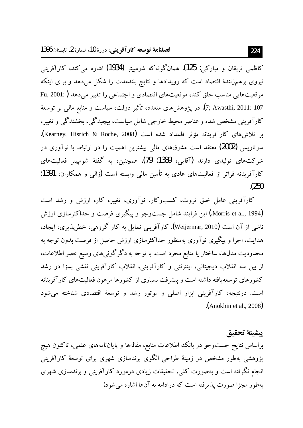كاظمى تربقان و مباركي: 125). همانگونه كه شومييتر (1934) اشاره مي كند، كارآفريني نیروی برهم;زنندهٔ اقتصاد است که رویدادها و نتایج بلندمدت را شکل میدهد و برای اینکه موقعیتهایی مناسب خلق کند، موقعیتهای اقتصادی و اجتماعی را تغییر می دهد ( :Fu, 2001 7; Awasthi, 2011: 107). در يژوهش هاي متعدد، تأثير دولت، سياست و منابع مالي بر توسعهٔ کارآفرینی مشخص شده و عناصر محیط خارجی شامل سیاست، پیچیدگی، بخشندگی و تغییر، بر تلاشرهای کارآفرینانه مؤثر قلمداد شده است (Kearney, Hisrich & Roche, 2008). سوتاریس (2002) معتقد است مشوقهای مالی بیشترین اهمیت را در ارتباط با نوآوری در شرکتهای تولیدی دارند (آقایی، 1389: 79). همچنین، به گفتهٔ شومییتر فعالیتهای کارآفرینانه فراتر از فعالیتهای عادی به تأمین مالی وابسته است (زالی و همکاران، 1391:  $(250)$ 

کارآفرینی عامل خلق ثروت، کسبوکار، نوآوری، تغییر، کار، ارزش و رشد است (Morris et al., 1994.) این فرایند شامل جستوجو و پیگیری فرصت و حداکثرسازی ارزش ناشی از آن است (Weijermar, 2010). کار آفرینی تمایل به کار گروهی، خطرپذیری، ایجاد، هدایت، اجرا و پیگیری نوآوری بهمنظور حداکثرسازی ارزش حاصل از فرصت بدون توجه به محدودیت مدلها، ساختار یا منابع مجرد است. با توجه به دگرگونی های وسیع عصر اطلاعات، از بین سه انقلاب دیجیتالی، اینترنتی و کارآفرینی، انقلاب کارآفرینی نقشی بسزا در رشد کشورهای توسعه یافته داشته است و پیشرفت بسیاری از کشورها مرهون فعالیتهای کارآفرینانه است. درنتیجه، کارآفرینی ابزار اصلی و موتور رشد و توسعهٔ اقتصادی شناخته میشود  $\Lambda$ nokhin et al., 2008).

ييشينة تحقيق براساس نتايج جستوجو در بانك اطلاعات منابع، مقالهها و پاياننامههای علمی، تاكنون هيچ پژوهشی بهطور مشخص در زمینهٔ طراحی الگوی برندسازی شهری برای توسعهٔ کارآفرینی انجام نگرفته است و بهصورت کلبی، تحقیقات زیادی درمورد کارآفرینی و برندسازی شهری بهطور مجزا صورت پذیرفته است که درادامه به آنها اشاره میشود: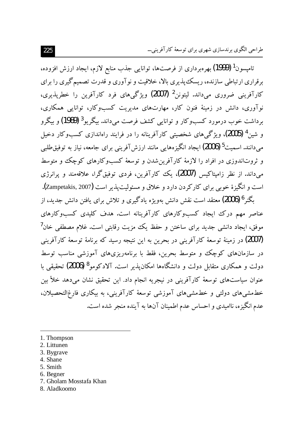تامیسون<sup>1</sup> (1999) بهرهبرداری از فرصتها، توانایی جذب منابع لازم، ایجاد ارزش افزوده، برقراری ارتباطی سازنده، ریسک پذیری بالا، خلاقیت و نوآوری و قدرت تصمیم گیری را برای کارآفرینی ضروری می،داند. لیتونن<sup>2</sup> (2007) ویژگی های فرد کارآفرین را خطریذیری، نوآوری، دانش در زمینهٔ فنون کار، مهارتهای مدیریت کسبوکار، توانایی همکاری، برداشت خوب درمورد کسبوکار و توانایی کشف فرصت می<mark>داند. بیگریو<sup>3</sup> (1989)</mark> و بیگرو و شین <sup>4</sup> (2005)، ویژگی۵های شخصیتی کارآفرینانه را در فرایند راهاندازی کسبوکار دخیل م دانند. اسمیت<sup>5</sup> (2006) ایجاد انگیزەهایی مانند ارزش آفرینی برای جامعه، نیاز به توفیق $\,$ طلبی و ثروتاندوزی در افراد را لازمهٔ کارآفرین شدن و توسعهٔ کسبوکارهای کوچک و متوسط می،داند. از نظر زامیتاکیس (2007)، یک کارآفرین، فردی توفیق گرا، علاقهمند و پرانرژی است و انگیزهٔ خوبی برای کارکردن دارد و خلاق و مسئولیت پذیر است (Zampetakis, 2007).

بگنر <sup>6</sup> (2006) معتقد است نقش دانش بهویژه یادگیری و تلاش برای یافتن دانش جدید، از عناصر مهم درک ایجاد کسبوکارهای کارآفرینانه است. هدف کلیدی کسبوکارهای موفق، ایجاد دانشی جدید برای ساختن و حفظ یک مزیت رقابتی است. غلام مصطفی خان<sup>7</sup> (2007) در زمینهٔ توسعهٔ کارآفرینی در بحرین به این نتیجه رسید که برنامهٔ توسعهٔ کارآفرینی در سازمانهای کوچک و متوسط بحرین، فقط با برنامهریزیهای آموزشی مناسب توسط دولت و همکاری متقابل دولت و دانشگاهها امکان پذیر است. آلادکومو<sup>8</sup> (2006) تحقیقی با عنوان سیاستهای توسعهٔ کارآفرینی در نیجریه انجام داد. این تحقیق نشان میدهد خلأ بین خطمشیهای دولتی و خطمشیهای آموزشی توسعهٔ کارآفرینی، به بیکاری فارغ|لتحصیلان، عدم انگیزه، ناامیدی و احساس عدم اطمینان آنها به آینده منجر شده است.

- 1. Thompson
- 2. Littunen
- 3. Bygrave
- 4. Shane
- 5. Smith
- 6. Begner
- 7. Gholam Mosstafa Khan
- 8. Aladkoomo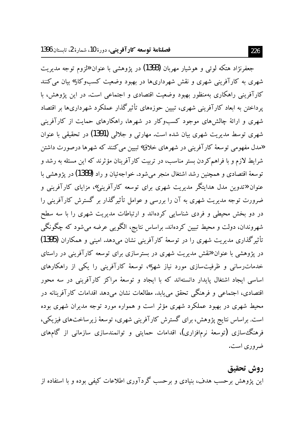جعفرنژاد هتکه لوئي و هوشيار مهربان (1393) در يژوهشي با عنوان «لزوم توجه مديريت شهری به کارآفرینی شهری و نقش شهرداریها در بهبود وضعیت کسبوکار» بیان می کنند کارآفرینی راهکاری بهمنظور بهبود وضعیت اقتصادی و اجتماعی است. در این یژوهش، با یرداختن به ابعاد کارآفرینی شهری، تبیین حوزههای تأثیرگذار عملکرد شهرداریها بر اقتصاد شهری و ارائهٔ چالش های موجود کسبوکار در شهرها، راهکارهای حمایت از کارآفرینی شهري توسط مديريت شهري بيان شده است. مهارتبي و جلالي (1391) در تحقيقي با عنوان «مدل مفهومي توسعهٔ کارآفريني در شهرهاي خلاق» تبيين مي کنند که شهرها درصورت داشتن شرایط لازم و با فراهم کردن بستر مناسب، در تربیت کارآفرینان مؤثرند که این مسئله به رشد و توسعهٔ اقتصادی و همچنین رشد اشتغال منجر می شود. خواجهئیان و راد (1389) در یژوهشی با عنوان «تدوین مدل هدایتگر مدیریت شهری برای توسعه کارآفرینی»، مزایای کارآفرینی و ضرورت توجه مدیریت شهری به آن را بررسی و عوامل تأثیرگذار بر گسترش کارآفرینی را در دو بخش محیطی و فردی شناسایی کردهاند و ارتباطات مدیریت شهری را با سه سطح شهروندان، دولت و محیط تبیین کردهاند. براساس نتایج، الگویبی عرضه می شود که چگونگی تأثیرگذاری مدیریت شهری را در توسعهٔ کارآفرینی نشان میدهد. امینی و همکاران (1395) در پژوهشی با عنوان «تقش مدیریت شهری در بسترسازی برای توسعه کارآفرینی در راستای خدمات رسانی و ظرفیتسازی مورد نیاز شهر»، توسعهٔ کارآفرینی را یکی از راهکارهای اساسی ایجاد اشتغال پایدار دانستهاند که با ایجاد و توسعهٔ مراکز کارآفرینی در سه محور اقتصادی، اجتماعی و فرهنگی تحقق می،یابد. مطالعات نشان می،دهد اقدامات کارآفرینانه در محیط شهری در بهبود عملکرد شهری مؤثر است و همواره مورد توجه مدیران شهری بوده است. براساس نتایج پژوهش، برای گسترش کارآفرینی شهری، توسعهٔ زیرساختهای فیزیکی، فرهنگ سازی (توسعهٔ نرمافزاری)، اقدامات حمایتی و توانمندسازی سازمانی از گامهای ضروری است.

### روش تحقيق

این یژوهش برحسب هدف، بنیادی و برحسب گردآوری اطلاعات کیفی بوده و با استفاده از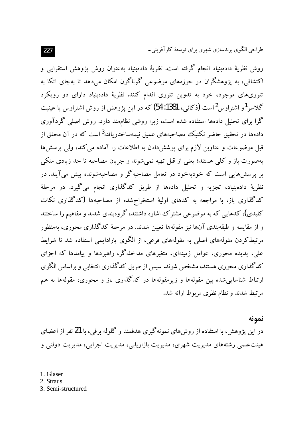روش نظريهٔ دادهبنياد انجام گرفته است. نظريهٔ دادهبنياد بهعنوان روش پژوهش استقرابي و اکتشافی، به یژوهشگران در حوزههای موضوعی گوناگون امکان می،دهد تا بهجای اتکا به تئوري،هاي موجود، خود به تدوين تئوري اقدام كنند. نظريهٔ دادهبنياد داراي دو رويكرد گلاسر<sup>1</sup>و اشتراوس<sup>2</sup>است (ذکائی، 1381: 54) که در این یژوهش از روش اشتراوس یا عینیت گرا برای تحلیل دادهها استفاده شده است، زیرا روشی نظامهند دارد. روش اصلی گردآوری دادهها در تحقیق حاضر تکنیک مصاحبههای عمیق نیمهساختاریافته<sup>3</sup>است که در آن محقق از قبل موضوعات و عناوین لازم برای پوششدادن به اطلاعات را آماده می کند، ولی پرسشها بهصورت باز و کلی هستند؛ یعنی از قبل تهیه نمی شوند و جریان مصاحبه تا حد زیادی متکی بر پرسشهایی است که خودبهخود در تعامل مصاحبهگر و مصاحبهشونده پیش میآیند. در نظريهٔ دادهبنياد، تجزيه و تحليل دادهها از طريق كدگذاري انجام ميگيرد. در مرحلهٔ کدگذاری باز، با مراجعه به کدهای اولیهٔ استخراجشده از مصاحبهها (کدگذاری نکات کلیدی)، کدهایی که به موضوعی مشترک اشاره داشتند، گروهبندی شدند و مفاهیم را ساختند و از مقایسه و طبقه بندی آنها نیز مقولهها تعیین شدند. در مرحلهٔ کدگذاری محوری، بهمنظور مرتبطکردن مقولههای اصلی به مقولههای فرعی، از الگوی پارادایمی استفاده شد تا شرایط علی، پدیده محوری، عوامل زمینهای، متغیرهای مداخلهگر، راهبردها و پیامدها که اجزای کدگذاری محوری هستند، مشخص شوند. سپس از طریق کدگذاری انتخابی و براساس الگوی ارتباط شناسایی شده بین مقولهها و زیرمقولهها در کدگذاری باز و محوری، مقولهها به هم مرتبط شدند و نظام نظری مربوط ارائه شد.

نمونه

در این پژوهش، با استفاده از روشهای نمونهگیری هدفمند و گلوله برفی، با 21 نفر از اعضای هیئتعلمی رشتههای مدیریت شهری، مدیریت بازاریابی، مدیریت اجرایی، مدیریت دولتی و

1. Glaser

3. Semi-structured

<sup>2.</sup> Straus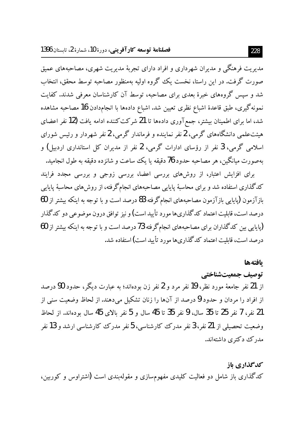مدیریت فرهنگی و مدیران شهرداری و افراد دارای تجربهٔ مدیریت شهری، مصاحبههای عمیق صورت گرفت. در این راستا، نخست یک گروه اولیه بهمنظور مصاحبه توسط محقق، انتخاب شد و سپس گروههای خبرهٔ بعدی برای مصاحبه، توسط آن کارشناسان معرفی شدند. کفایت نمونهگیری، طبق قاعدهٔ اشباع نظری تعیین شد. اشباع دادهها با انجامدادن 16 مصاحبه مشاهده شد، اما برای اطمینان بیشتر، جمع آوری دادهها تا 21 شرکت کننده ادامه یافت (12 نفر اعضای هیئتعلمی دانشگاههای گرمی، 2 نفر نماینده و فرماندار گرمی، 2 نفر شهردار و رئیس شورای اسلامی گرمی، 3 نفر از رؤسای ادارات گرمی، 2 نفر از مدیران کل استانداری اردبیل) و بهصورت ميانگين، هر مصاحبه حدود 76 دقيقه يا يک ساعت و شانزده دقيقه به طول انجاميد.

برای افزایش اعتبار، از روشهای بررسی اعضا، بررسی زوجی و بررسی مجدد فرایند کدگذاری استفاده شد و برای محاسبهٔ پایایی مصاحبههای انجامگرفته، از روش های محاسبهٔ پایایی بازآزمون (پایایی بازآزمون مصاحبههای انجامگرفته 83 درصد است و با توجه به اینکه بیشتر از 60 درصد است، قابلیت اعتماد کدگذاریها مورد تأیید است) و نیز توافق درون موضوعی دو کدگذار (پایایی بین کدگذاران برای مصاحبههای انجامگرفته 73 درصد است و با توجه به اینکه بیشتر از 60 درصد است، قابلیت اعتماد کدگذاریها مورد تأیید است) استفاده شد.

#### بافتهها

توصيف جمعيتشناختي از 21 نفر جامعهٔ مورد نظر، 19 نفر مرد و 2 نفر زن بودهاند؛ به عبارت دیگر، حدود 90 درصد از افراد را مردان و حدود 9 درصد از آنها را زنان تشکیل میدهند. از لحاظ وضعیت سنی از 21 نفر، 7 نفر 25 تا 35 سال، 9 نفر 35 تا 45 سال و 5 نفر بالای 45 سال بودهاند. از لحاظ وضعیت تحصیلی از 21 نفر، 3 نفر مدرک کارشناسی، 5 نفر مدرک کارشناسی ارشد و 13 نفر مدرک دکتری داشتهاند.

#### كدگذاري باز

کدگذاری باز شامل دو فعالیت کلیدی مفهومسازی و مقولهبندی است (اشتراوس و کوربین،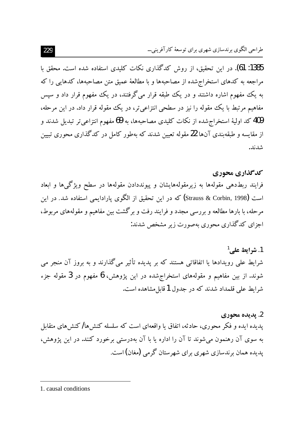1385: 61). در این تحقیق، از روش کدگذاری نکات کلیدی استفاده شده است. محقق با مراجعه به کدهای استخراج شده از مصاحبهها و با مطالعهٔ عمیق متن مصاحبهها، کدهایی را که به یک مفهوم اشاره داشتند و در یک طبقه قرار میگرفتند، در یک مفهوم قرار داد و سیس مفاهیم مرتبط با یک مقوله را نیز در سطحی انتزاعی تر، در یک مقوله قرار داد. در این مرحله، 409 کد اولیهٔ استخراج شده از نکات کلیدی مصاحبهها، به 69 مفهوم انتزاعیتر تبدیل شدند و از مقایسه و طبقهبندی آنها 22 مقوله تعیین شدند که بهطور کامل در کدگذاری محوری تبیین شدند.

## كدگذاري محوري

فرایند ربطدهی مقولهها به زیرمقولههایشان و پیونددادن مقولهها در سطح ویژگیها و ابعاد است (Strauss & Corbin, 1998) که در این تحقیق از الگوی پارادایمی استفاده شد. در این مرحله، با بارها مطالعه و بررسی مجدد و فرایند رفت و برگشت بین مفاهیم و مقولههای مربوط، اجزای کدگذاری محوری بهصورت زیر مشخص شدند:

1. شرايط على<sup>1</sup> شرایط علی رویدادها یا اتفاقاتی هستند که بر پدیده تأثیر میگذارند و به بروز آن منجر می شوند. از بین مفاهیم و مقولههای استخراج شده در این پژوهش، 6 مفهوم در 3 مقوله جزء شرايط على قلمداد شدند كه در جدول 1قابل مشاهده است.

2. پديده محوري یدیده ایده و فکر محوری، حادثه، اتفاق یا واقعهای است که سلسله کنش۵ا/کنش۵مای متقابل به سوی آن رهنمون میشوند تا آن را اداره یا با آن بهدرستی برخورد کنند. در این پژوهش، یدیده همان برندسازی شهری برای شهرستان گرمی (مغان) است.

<sup>1.</sup> causal conditions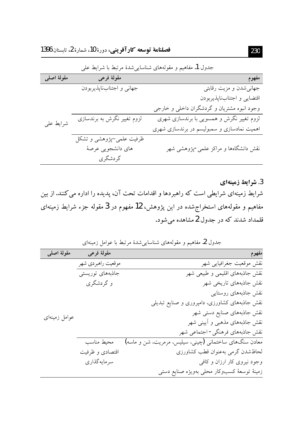|             | .<br>⊷ت                     | $\cup$ $\cup$ $\cup$ $\cup$ $\cup$ $\cup$ $\cup$ |
|-------------|-----------------------------|--------------------------------------------------|
| مقولهٔ اصلی | مقولهٔ فرعی                 | مفهوم                                            |
| شرايط على   | جهانى واجتنابناپذيربودن     | جهانی شدن و مزیت رقابتی                          |
|             |                             | اقتضايى و اجتنابناپذيربودن                       |
|             |                             | وجود انبوه مشتریان و گردشگران داخلی و خارجی      |
|             | لزوم تغییر نگرش به برندسازی | لزوم تغییر نگرش و همسویی با برندسازی شهری        |
|             |                             | اهمیت نمادسازی و سمبولیسم در برندسازی شهری       |
|             | ظرفیت علمی–پژوهشی و تشکل    |                                                  |
|             | های دانشجویی عرصهٔ          | نقش دانشگاهها و مراکز علمی-پژوهشی شهر            |
|             | گردشگري                     |                                                  |

حدول 1. مفاهیم و مقولههای شناسایی شدهٔ مرتبط با شرایط علی

3. شرایط زمینهای شرایط زمینهای شرایطی است که راهبردها و اقدامات تحت آن، پدیده را اداره می کنند. از بین مفاهیم و مقولههای استخراج شده در این پژوهش، 12 مفهوم در 3 مقوله جزء شرایط زمینهای قلمداد شدند که در جدول 2 مشاهده می شود.

|               |                    | جدوں نے معاہیم و مقونہھای سیاسایی سدہ مرتبط با عوامل رمینہای |
|---------------|--------------------|--------------------------------------------------------------|
| مقولهٔ اصلی   | مقولهٔ فرعی        | مفهوم                                                        |
|               | موقعيت راهبردي شهر | نقش موقعیت جغرافیایی شهر                                     |
|               | جاذبههای توریستی   | نقش جاذبههای اقلیمی و طبیعی شهر                              |
|               | و گردشگری          | نقش جاذبههای تاریخی شهر                                      |
|               |                    | نقش جاذبههای روستایی                                         |
|               |                    | نقش جاذبههای کشاورزی، دامپروری و صنایع تبدیلی                |
| عوامل زمينهاى |                    | نقش جاذبههای صنایع دستی شهر                                  |
|               |                    | نقش جاذبههای مذهبی و أیینی شهر                               |
|               |                    | نقش جاذبههای فرهنگی- اجتماعی شهر                             |
|               | محيط مناسب         | معادن سنگهای ساختمانی (چینی، سیلیس، مرمریت، شن و ماسه)       |
|               | اقتصادى و ظرفيت    | لحاظشدن گرمي بهعنوان قطب كشاورزى                             |
|               | سر مايه گذاري      | وجود نیروی کار ارزان و کافی                                  |
|               |                    | زمينهٔ توسعهٔ كسبوكار محلى بهويژه صنايع دستى                 |

دن في 1 مقاهد و مقولههاي شناسان شدهٔ مرتبط با عوامل زمينهاي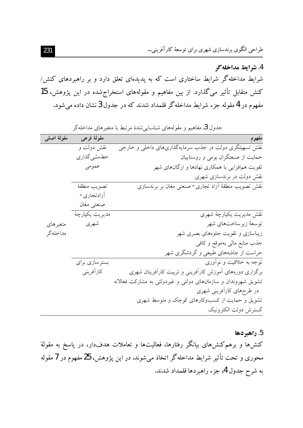طراحي الگوي برندسازي شهري براي توسعهٔ كارآفريني…

4. شرايط مداخله گر شرایط مداخلهگر شرایط ساختاری است که به پدیدهای تعلق دارد و بر راهبردهای کنش/ کنش متقابل تأثیر میگذارد. از بین مفاهیم و مقولههای استخراج شده در این پژوهش، 15 مفهوم در 4 مقوله جزء شرايط مداخله گر قلمداد شدند كه در جدول 3 نشان داده مى شود.

| مقولهٔ اصلی | مقولهٔ فرعی    | مفهوه                                                         |
|-------------|----------------|---------------------------------------------------------------|
|             | نقش دولت و     | نقش تسهیلگری دولت در جذب سرمایهگذاریهای داخلی و خارجی         |
|             | خطمشي گذاري    | حمایت از صنعتگران بومی و روستاییان                            |
|             | عمومى          | تقویت همافزایی با همکاری نهادها و ارگانهای شهر                |
|             |                | نقش دولت در برندسازی شهری                                     |
|             | تصويب منطقة    | نقش تصويب منطقة أزاد تجارى- صنعتى مغان بر برندسازى            |
|             | أزادتجاري-     |                                                               |
|             | صنعتى مغان     |                                                               |
|             | مديريت يكپارچۀ | نقش مديريت يكپارچۀ شهرى                                       |
| متغير هاي   | شهري           | توسعهٔ زیرساختهای شهر                                         |
| مداخلهگر    |                | زیباسازی و تقویت جلوههای بصری شهر                             |
|             |                | جذب منابع مالي بهموقع وكافي                                   |
|             |                | حراست از جاذبههای طبیعی و گردشگری شهر                         |
|             | بسترسازي براي  | توجه به خلاقیت و نوأوری                                       |
|             | كارآفريني      | برگزاری دورههای آموزش کارآفرینی و تربیت کارآفرینان شهری       |
|             |                | تشویق شهروندان و سازمانهای دولتی و غیردولتی به مشارکت فعالانه |
|             |                | در طرحهای کارآفرینی شهری                                      |
|             |                | تشویق و حمایت از کسبوکارهای کوچک و متوسط شهری                 |
|             |                | گسترش دولت الکترونیک                                          |

جدول 3. مفاهیم و مقولههای شناساییشدهٔ مرتبط با متغیرهای مداخلهگر

5. راهبردها کنشها و برهم کنشهای بیانگر رفتارها، فعالیتها و تعاملات هدفدار، در پاسخ به مقولهٔ محوری و تحت تأثیر شرایط مداخلهگر اتخاذ میشوند. در این پژوهش، 25 مفهوم در 7 مقوله به شرح جدول 4، جزء راهبردها قلمداد شدند.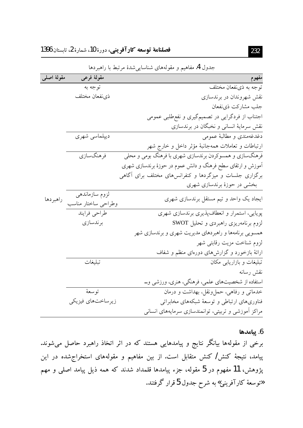| مقولهٔ اصلی | مقولهٔ فرعی         | مفهوم                                                                   |
|-------------|---------------------|-------------------------------------------------------------------------|
|             | توجه به             | توجه به ذینفعان مختلف                                                   |
|             | ذىنفعان مختلف       | نقش شهروندان در برندسازی                                                |
|             |                     | جلب مشاركت ذىنفعان                                                      |
|             |                     | اجتناب از فردگرایی در تصمیمگیری و نفعطلبی عمومی                         |
|             |                     | نقش سرمایهٔ انسانی و نخبگان در برندسازی                                 |
|             | ديپلماسي شهري       | دغدغهمندی و مطالبهٔ عمومی                                               |
|             |                     | ارتباطات و تعاملات همهجانبهٔ مؤثر داخل و خارج شهر                       |
|             | فرهنگسازي           | فرهنگسازی و همسوکردن برندسازی شهری با فرهنگ بومی و محلی                 |
|             |                     | <sup>ا</sup> موزش و ارتقای سطح فرهنگ و دانش عموم در حوزهٔ برندسازی شهری |
|             |                     | برگزاری جلسات و میزگردها و کنفرانس۵ای مختلف برای آگاهی                  |
|             |                     | بخشی در حوزهٔ برندسازی شهری                                             |
|             | لزوم سازماندهي      |                                                                         |
| راهبردها    | وطراحى ساختار مناسب | ایجاد یک واحد و تیم مستقل برندسازی شهری                                 |
|             | طراحي فرايند        | پویایی، استمرار و انعطافپذیری برندسازی شهری                             |
|             | برندسازي            | لزوم برنامهریزی راهبردی و تحلیل SWOT                                    |
|             |                     | همسویی برنامهها و راهبردهای مدیریت شهری و برندسازی شهر                  |
|             |                     | لزوم شناخت مزيت رقابتى شهر                                              |
|             |                     | ارائهٔ بازخورد و گزارشهای دورهای منظم و شفاف                            |
|             | تبليغات             | تبلیغات و بازاریابی مکان                                                |
|             |                     | نقش رسانه                                                               |
|             |                     | ستفاده از شخصیتهای علمی، فرهنگی، هنری، ورزشی و …                        |
|             | توسعهٔ              | خدماتی و رفاهی، حمل ونقل، بهداشت و درمان                                |
|             | زيرساختهاي فيزيكي   | فناوریهای ارتباطی و توسعهٔ شبکههای مخابراتی                             |
|             |                     |                                                                         |
|             |                     | مراکز أموزشی و تربیتی، توانمندسازی سرمایههای انسانی                     |

جدول 4. مفاهیم و مقولههای شناسایی شدهٔ مرتبط با راهبردها

#### 6. پيامدها

برخی از مقولهها بیانگر نتایج و پیامدهایی هستند که در اثر اتخاذ راهبرد حاصل میشوند. پیامد، نتیجهٔ کنش/ کنش متقابل است. از بین مفاهیم و مقولههای استخراجشده در این پژوهش، 11 مفهوم در 5 مقوله، جزء پیامدها قلمداد شدند که همه ذیل پیامد اصلی و مهم «توسعهٔ کارآفرینی» به شرح جدول 5 قرار گرفتند.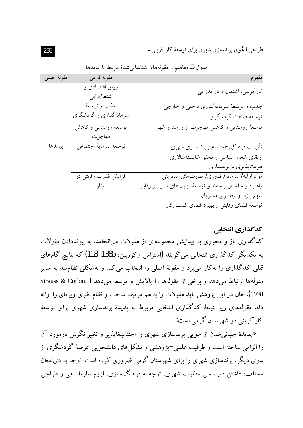| جدون <b>ن.</b> مقاهیم و مقویههای سیاسایی سده مرتبط با پیامدها |                       |                                                      |
|---------------------------------------------------------------|-----------------------|------------------------------------------------------|
| مقولهٔ اصلی                                                   | مقولهٔ فرعی           | مفهوم                                                |
|                                                               | رونق اقتصادی و        | کارآفرینی، اشتغال و درآمدزایی                        |
|                                                               | اشتغالزايي            |                                                      |
|                                                               | جذب و توسعهٔ          | جذب و توسعهٔ سرمایهگذاری داخلی و خارجی               |
|                                                               | سرمایهگذاری و گردشگری | توسعهٔ صنعت گردشگري                                  |
|                                                               | توسعهٔ روستایی و کاهش | توسعهٔ روستایی و کاهش مهاجرت از روستا و شهر          |
|                                                               | مهاجرت                |                                                      |
| ييامدها                                                       | توسعة سرماية اجتماعي  | تأثيرات فرهنگيى-اجتماعي برندسازي شهري                |
|                                                               |                       | ارتقای شعور سیاسی و تحقق شایستهسالاری                |
|                                                               |                       | هویتپذیری با برندسازی                                |
|                                                               | افزایش قدرت رقابتی در | مواد اولیه / سرمایه / فناوری / مهارتهای مدیریتی      |
|                                                               | بازار                 | راهبرد و ساختار و حفظ و توسعهٔ مزیتهای نسبی و رقابتی |
|                                                               |                       | سهم بازار و وفاداری مشتریان                          |
|                                                               |                       | توسعهٔ فضای رقابتی و بهبود فضای کسبوکار              |

فيدار آتار والمقارنة والمعاصر بشوار المرشوبة

## کدگذاری انتخابی

کدگذاری باز و محوری به پیدایش مجموعهای از مقولات می انجامد. به پیونددادن مقولات به یکدیگر کدگذاری انتخابی میگویند (استراس وکوریین، 1385: 118) که نتایج گامهای قبلی کدگذاری را بهکار می برد و مقولهٔ اصلی را انتخاب می کند و بهشکلی نظاممند به سایر مقولهها ارتباط مى دهد و برخى از مقولهها را پالايش و توسعه مى دهد ( Strauss & Corbin, 1998). حال در این پژوهش باید مقولات را به هم مرتبط ساخت و نظام نظری ویژهای را ارائه داد. مقولههای زیر نتیجهٔ کدگذاری انتخابی مربوط به پدیدهٔ برندسازی شهری برای توسعهٔ کارآفرینی در شهرستان گرمی است:

«پدیدهٔ جهانی شدن از سویی برندسازی شهری را اجتنابناپذیر و تغییر نگرش درمورد آن را الزامی ساخته است و ظرفیت علمی –یژوهشی و تشکل های دانشجویی عرصهٔ گردشگری از سوی دیگر، برندسازی شهری را برای شهرستان گرمی ضروری کرده است. توجه به ذی:فعان مختلف، داشتن دیپلماسی مطلوب شهری، توجه به فرهنگ سازی، لزوم سازماندهی و طراحی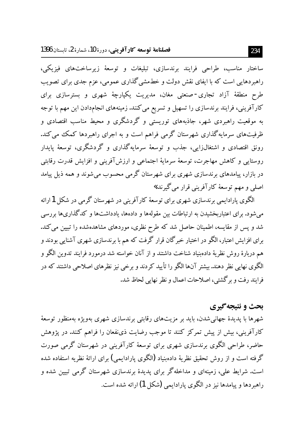ساختار مناسب، طراحی فرایند برندسازی، تبلیغات و توسعهٔ زیرساختهای فیزیکی، راهبردهایی است که با ایفای نقش دولت و خطـمشی گذاری عمومی، عزم جدی برای تصویب طرح منطقهٔ آزاد تجاری-صنعتی مغان، مدیریت یکپارچهٔ شهری و بسترسازی برای کارآفرینی، فرایند برندسازی را تسهیل و تسریع می کنند. زمینههای انجامدادن این مهم با توجه به موقعیت راهبردی شهر، جاذبههای توریستی و گردشگری و محیط مناسب اقتصادی و ظرفیتهای سرمایهگذاری شهرستان گرمی فراهم است و به اجرای راهبردها کمک می کند. رونق اقتصادی و اشتغالزایی، جذب و توسعهٔ سرمایهگذاری و گردشگری، توسعهٔ پایدار روستایی و کاهش مهاجرت، توسعهٔ سرمایهٔ اجتماعی و ارزشآفرینی و افزایش قدرت رقابتی در بازار، پیامدهای برندسازی شهری برای شهر ستان گرمی محسوب می شوند و همه ذبل پیامد اصلي و مهم توسعهٔ کارآفرينې قرار مې گيړند.»

الگوی پارادایمی برندسازی شهری برای توسعهٔ کارآفرینی در شهرستان گرمی در شکل 1ارائه می شود. برای اعتباریخشیدن به ارتباطات بین مقولهها و دادهها، یادداشتها و کدگذاریها بررسی شد و پس از مقایسه، اطمینان حاصل شد که طرح نظری، موردهای مشاهدهشده را تبیین می کند. برای افزایش اعتبار، الگو در اختیار خبرگان قرار گرفت که هم با برندسازی شهری آشنایی بودند و هم دربارهٔ روش نظریهٔ دادهبنیاد شناخت داشتند و از آنان خواسته شد درمورد فرایند تدوین الگو و الگوی نهایی نظر دهند. بیشتر آنها الگو را تأیید کردند و برخی نیز نظرهای اصلاحی داشتند که در فرایند رفت و بر گشتی، اصلاحات اعمال و نظر نهایی لحاظ شد.

## بحث و نتيجه گيري

شهرها با پدیدهٔ جهانی شدن، باید بر مزیتهای رقابتی برندسازی شهری بهویژه بهمنظور توسعهٔ کارآفرینی، بیش از پیش تمرکز کنند تا موجب رضایت ذی،نفعان را فراهم کنند. در پژوهش حاضر، طراحی الگوی برندسازی شهری برای توسعهٔ کارآفرینی در شهرستان گرمی صورت گرفته است و از روش تحقیق نظریهٔ دادهبنیاد (الگوی پارادایمی) برای ارائهٔ نظریه استفاده شده است. شرایط علی، زمینهای و مداخلهگر برای پدیدهٔ برندسازی شهرستان گرمی تبیین شده و راهبردها و پیامدها نیز در الگوی پارادایمی (شکل 1) ارائه شده است.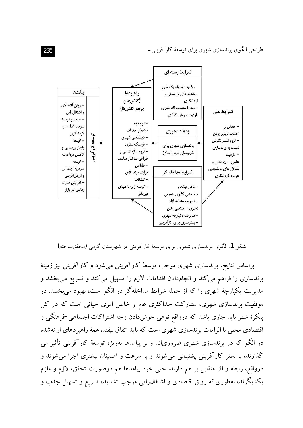

شکل 1. الگوی برندسازی شهری برای توسعهٔ کارآفرینی در شهرستان گرمی (محققساخته)

براساس نتایج، برندسازی شهری موجب توسعهٔ کارآفرینی میشود و کارآفرینی نیز زمینهٔ برندسازی را فراهم می کند و انجامدادن اقدامات لازم را تسهیل می کند و تسریع می بخشد و مدیریت یکپارچهٔ شهری را که از جمله شرایط مداخلهگر در الگو است، بهبود می بخشد. در موفقیت برندسازی شهری، مشارکت حداکثری عام و خاص امری حیاتی است که در کل پیکرهٔ شهر باید جاری باشد که درواقع نوعی جوش۱ددن وجه اشتراکات اجتماعی -فرهنگی و اقتصادی محلی با الزامات برندسازی شهری است که باید اتفاق بیفتد. همهٔ راهبردهای ارائهشده در الگو که در برندسازی شهری ضروریاند و بر پیامدها بهویژه توسعهٔ کارآفرینی تأثیر می گذارند، با بستر کارآفرینی پشتیبانی میشوند و با سرعت و اطمینان بیشتری اجرا میشوند و درواقع، رابطه و اثر متقابل بر هم دارند. حتى خود پيامدها هم درصورت تحقق، لازم و ملزم یکدیگرند، بهطوری که رونق اقتصادی و اشتغالزایی موجب تشدید، تسریع و تسهیل جذب و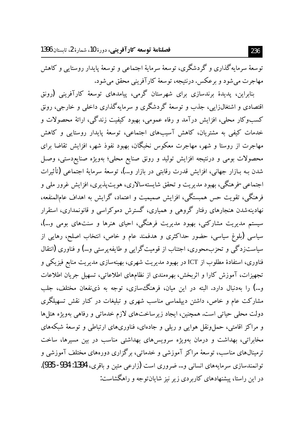فصلنامة توسعه كارآفريني، دورة 10، شمارة 2، تاستان 1396

توسعهٔ سرمایهگذاری و گردشگری، توسعهٔ سرمایهٔ اجتماعی و توسعهٔ پایدار روستایی و کاهش مهاجرت مي شود و برعکس. درنتيجه، توسعهٔ کارآفريني محقق مي شود.

.<br>بنابراین، پدیدهٔ برندسازی برای شهرستان گرمی، پیامدهای توسعهٔ کارآفرینی (رونق اقتصادی و اشتغالزایی، جذب و توسعهٔ گردشگری و سرمایهگذاری داخلی و خارجی، رونق کسبوکار محلی، افزایش درآمد و رفاه عمومی، بهبود کیفیت زندگی، ارائهٔ محصولات و خدمات کیفی به مشتریان، کاهش آسیبهای اجتماعی، توسعهٔ پایدار روستایی و کاهش مهاجرت از روستا و شهر، مهاجرت معکوس نخبگان، بهبود نفوذ شهر، افزایش تقاضا برای محصولات بومي و درنتيجه افزايش توليد و رونق صنايع محلي؛ بهويژه صنايع٥دستي، وصل شدن بـه بـازار جهاني، افزايش قدرت رقابتي در بازار و…)، توسعهٔ سرمايهٔ اجتماعي (تأثيرات اجتماعي -فرهنگي، بهبود مديريت و تحقق شايستهسالاري، هويتپذيري، افزايش غرور ملي و فرهنگی، تقویت حس همبستگی، افزایش صمیمیت و اعتماد، گرایش به اهداف عامالمنفعه، .<br>نهادینهشدن هنجارهای رفتار گروهی و همیاری، گسترش دموکراسی و قانونمداری، استقرار سیستم مدیریت مشارکتی، بهبود مدیریت فرهنگی، احیای هنرها و سنتهای بومی و…)، سیاسی (بلوغ سیاسی، حضور حداکثری و هدفمند عام و خاص، انتخاب اصلح، رهایی از سیاستزدگی و تحزبمحوری، اجتناب از قومیتگرایی و طایفه پرستی و…) و فناوری (انتقال فناوری، استفادهٔ مطلوب از ICT در بهبود مدیریت شهری، بهینهسازی مدیریت منابع فیزیکی و تجهیزات، آموزش کارا و اثربخش، بهرهمندی از نظامهای اطلاعاتی، تسهیل جریان اطلاعات و…) را بهدنبال دارد. البته در این میان، فرهنگ سازی، توجه به ذی،نفعان مختلف، جلب مشارکت عام و خاص، داشتن دیپلماسی مناسب شهری و تبلیغات در کنار نقش تسهیلگری دولت محلی حیاتی است. همچنین، ایجاد زیرساختهای لازم خدماتی و رفاهی بهویژه هتلها و مراکز اقامتی، حمل،ونقل هوایی و ریلی و جادهای، فناوریهای ارتباطی و توسعهٔ شبکههای مخابراتی، بهداشت و درمان بهویژه سرویسهای بهداشتی مناسب در بین مسیرها، ساخت ترمینال،های مناسب، توسعهٔ مراکز آموزشی و خدماتی، برگزاری دورههای مختلف آموزشی و توانمندسازي سرمايههاي انساني و… ضروري است (زارعي متين و باقري، 1394: 934- 935). در این راستا، پیشنهادهای کاربردی زیر نیز شایانتوجه و راهگشاست: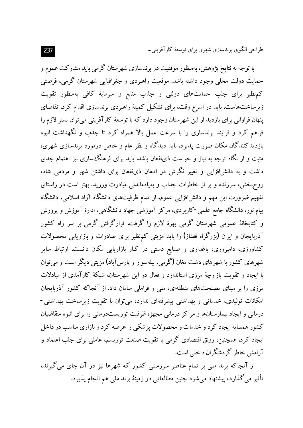با توجه به نتایج پژوهش، بهمنظور موفقیت در برندسازی شهرستان گرمی باید مشارکت عموم و حمایت دولت محلی وجود داشته باشد. موقعیت راهبردی و جغرافیایی شهرستان گرمی، فرصتی کمنظیر برای جلب حمایتهای دولتی و جذب منابع و سرمایهٔ کافی بهمنظور تقویت زیرساختهاست. باید در اسرع وقت، برای تشکیل کمیتهٔ راهبردی برندسازی اقدام کرد. تقاضای پنهان فراوانی برای بازدید از این شهرستان وجود دارد که با توسعهٔ کارآفرینی می توان بستر لازم را فراهم کرد و فرایند برندسازی را با سرعت عمل بالا همراه کرد تا جذب و نگهداشت انبوه بازدیدکنندگان مکان صورت پذیرد. باید دیدگاه و نظر عام و خاص درمورد برندسازی شهری، مثبت و از نگاه توجه به نیاز و خواست ذی:فعان باشد. باید برای فرهنگ سازی نیز اهتمام جدی داشت و به دانش(فزایی و تغییر نگرش در اذهان ذی:فعان برای داشتن شهر و مردمی شاد، روحبخش، سرزنده و پر از خاطرات جذاب و بهیادماندنی مبادرت ورزید. بهتر است در راستای تفهیم ضرورت این مهم و دانش(فزایی عموم، از تمام ظرفیتهای دانشگاه آزاد اسلامی، دانشگاه پیام نور، دانشگاه جامع علمی -کاربردی، مرکز آموزشی جهاد دانشگاهی، ادارهٔ آموزش و پرورش و کتابخانهٔ عمومی شهرستان گرمی بهرهٔ لازم را گرفت. قرارگرفتن گرمی بر سر راه کشور آذربایجان و ایران (بزرگراه قفقاز) را باید مزیتی کمنظیر برای صادرات و بازاریابی محصولات کشاورزی، دامپروری، باغداری و صنایع دستی در کنار بازاریابی مکان دانست. ارتباط سایر شهرهای کشور با شهرهای دشت مغان (گرمی، بیلهسوار و یارس آباد) مزیتی دیگر است و می توان با ایجاد و تقویت بازارچهٔ مرزی استاندارد و فعال در این شهرستان، شبکهٔ کارآمدی از مبادلات مرزی را بر مبنای مصلحتهای منطقهای، ملی و فراملی سامان داد. از آنجاکه کشور آذربایجان امکانات تولیدی، خدماتی و بهداشتی پیشرفتهای ندارد، می توان با تقویت زیرساخت بهداشتی-درمانی و ایجاد بیمارستانها و مراکز درمانی مجهز، ظرفیت توریستدرمانی را برای انبوه متقاضیان کشور همسایه ایجاد کرد و خدمات و محصولات پزشکی را عرضه کرد و بازاری مناسب در داخل ایجاد کرد. همچنین، رونق اقتصادی گرمی با تقویت صنعت توریسم، عاملی برای جلب اعتماد و آرامش خاطر گردشگران داخلی است.

از آنجاکه برند ملی بر تمام عناصر سرزمینی کشور که شهرها نیز در آن جای می گیرند، تأثیر می گذارد، پیشنهاد می شود چنین مطالعاتی در زمینهٔ برند ملی هم انجام پذیرد.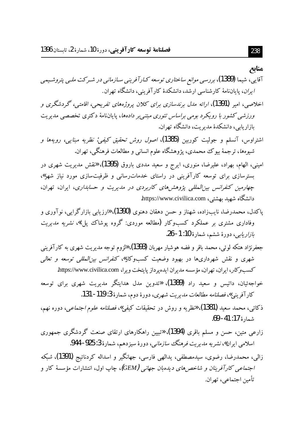#### مناىع

- آقایی، شیما (1389)، بررس<sub>ی</sub> م*وانع ساختاری توسعه ک*ارآفرین<sub>ی</sub> سازمان<sub>ی</sub> در شـرکت ملـی پتروشـیمی *ایران*، پایاننامهٔ کارشناسی ارشد، دانشکدهٔ کارآفرینی، دانشگاه تهران.
- اخلاصی، امیر (1391)، ارائه مدل برندسازی برای کلان پروژههای تفریحی، اقامتی، گردشگری و ورزشی کشور با رویکرد بومی براساس تئوری مبتنی بر دادهها، پایان نامهٔ دکتری تخصصی مدیریت بازاريابي، دانشكدهٔ مديريت، دانشگاه تهران.
- اشتراوس، آنسلم و جولیت کوربین **(1**385)، *اصول روش تحقیق کیفی: نظریه مبنایی، رویهها و* شیوهها، ترجمهٔ بیوک محمدی، پژوهشگاه علوم انسانی و مطالعات فرهنگی، تهران.
- امینی، الهام، بهراد، علیرضا، منوری، ایرج و سعید مددی باروق (1395)، «نقش مدیریت شهری در بسترسازی برای توسعه کارآفرینی در راستای خدماترسانی و ظرفیتسازی مورد نیاز شهر»، چهارمین کنفرانس بین المللی پژوهش های کاربردی در مدیریت و حسابداری، ایران، تهران، دانشگاه شهید بهشتی، https://www.civilica.com.
- یاکدل، محمدرضا، نایبزاده، شهناز و حسن دهقان دهنوی (1390)، «رزیابی بازارگرایی، نوآوری و وفاداری مشتری بر عملکرد کسبوکار (مطالعه موردی: گروه پوشاک پل)»، *نشریه مدیریت* ب*ازاريابي*، دورهٔ ششم، شمارهٔ 10: 1- 26.
- جعفرنژاد هتکه لوئی، محمد باقر و فضه هوشیار مهربان (1393)، «لزوم توجه مدیریت شهری به کارآفرین<u>ی</u> شهری و نقش شهرداریها در بهبود وضعیت کسبوکار» *کنفرانس بین المللی توسعه و تعالی* كسب وكار، ايران، تهران، مؤسسه مديران ايدهپرداز پايتخت ويرا، https://www.civilica.com.
- خواجهئیان، داتیس و سعید راد (1389)، «تدوین مدل هدایتگر مدیریت شهری برای توسعه كار آفريني»، فصلنامه مطالعات مديريت شهري، دورهٔ دوم، شمارهٔ 3: 119- 131.
- ذكائ<sub>ي</sub>، محمد سعيد **(1381)**، «فطريه و روش در تحقيقات كيفي»، *فصلنامه علوم اجتماعي*، دوره نهم، شمارة 17: 41- 69.
- زارعی متین، حسن و مسلم باقری (1394)، «تبیین راهکارهای ارتقای صنعت گردشگری جمهوری اسلامی ایران»، *نشریه مدیریت فرهنگ سازمانی*، دورهٔ سیزدهم، شمارهٔ 3: 925- 944.
- زالي، محمدرضا، رضوي، سيدمصطفى، يدالهي فارسي، جهانگير و اسداله كردنائيج (1391)، شبكه *اجتماعی کارآفرینان و شاخصهای دیدهبان جهانی (GEM)، چ*اپ اول، انتشارات مؤسسهٔ کار و تأمين اجتماعي، تهران.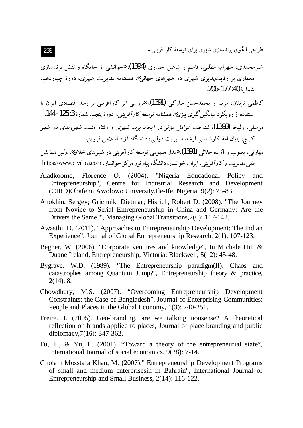شیرمحمدی، شهرام، مطلبی، قاسم و شاهین حیدری (1394)، «خوانشی از جایگاه و نقش برندسازی معماری بر رقابت پذیری شهری در شهرهای جهانی*»، فصلنامه مدیریت شهری*، دورهٔ چهاردهم، شمارة 40: 177-206.

- ۔<br>کاظمی تریقان، مریم و محمدحسن مبارکے **(1391)**، ہررسے اثر کارآفرینے پر رشد اقتصادی ایران با استفاده از رو یکرد میانگین گیری پیزی»، *فصلنامه توسعه کار آفرینی،* دورهٔ پنجم، شمارهٔ 3: 125- 144.
- مرسله، زلیخا (1393)، شناخت عوامل مؤثر در ایجاد برند شهری و رفتار مثبت شهروندی در شهر کرج، پایاننامهٔ کارشناسی ارشد مدیریت دولتی، دانشگاه آزاد اسلامی قزوین.

مهارتی، یعقوب و آزاده جلالی **(1391)**، «مدل مفهومی توسعه کارآفرینی در شهرهای خلاق» *اولین همایش* ملي مديريت وكارآفريني، ايران، خوانسار، دانشگاه پيام نور مركز خوانسار، https://www.civilica.com.

- Aladkoomo, Florence O. (2004). "Nigeria Educational Policy and Entrepreneurship", Centre for Industrial Research and Development (CIRD) Obafemi Awolowo University, Ile-Ife, Nigeria, 9(2): 75-83.
- Anokhin, Sergey; Grichnik, Dietmar; Hisrich, Robert D. (2008). "The Journey from Novice to Serial Entrepreneurship in China and Germany: Are the Drivers the Same?", Managing Global Transitions, 2(6): 117-142.
- Awasthi, D. (2011). "Approaches to Entrepreneurship Development: The Indian Experience", Journal of Global Entrepreneurship Research, 2(1): 107-123.
- Begner, W. (2006). "Corporate ventures and knowledge", In Michale Hitt & Duane Ireland, Entrepreneurship, Victoria: Blackwell, 5(12): 45-48.
- Bygrave, W.D.  $(1989)$ . "The Entrepreneurship paradigm $(II)$ : Chaos and catastrophes among Quantum Jump?", Entrepreneurship theory & practice,  $2(14): 8.$
- Chowdhury, M.S. (2007). "Overcoming Entrepreneurship Development Constraints: the Case of Bangladesh", Journal of Enterprising Communities: People and Places in the Global Economy, 1(3): 240-251.
- Freire. J. (2005). Geo-branding, are we talking nonsense? A theoretical reflection on brands applied to places, Journal of place branding and public diplomacy, 7(16): 347-362.
- Fu, T., & Yu, L. (2001). "Toward a theory of the entrepreneurial state". International Journal of social economics, 9(28): 7-14.
- Gholam Mosstafa Khan, M. (2007)." Entrepreneurship Development Programs of small and medium enterprises in Bahrain", International Journal of Entrepreneurship and Small Business, 2(14): 116-122.